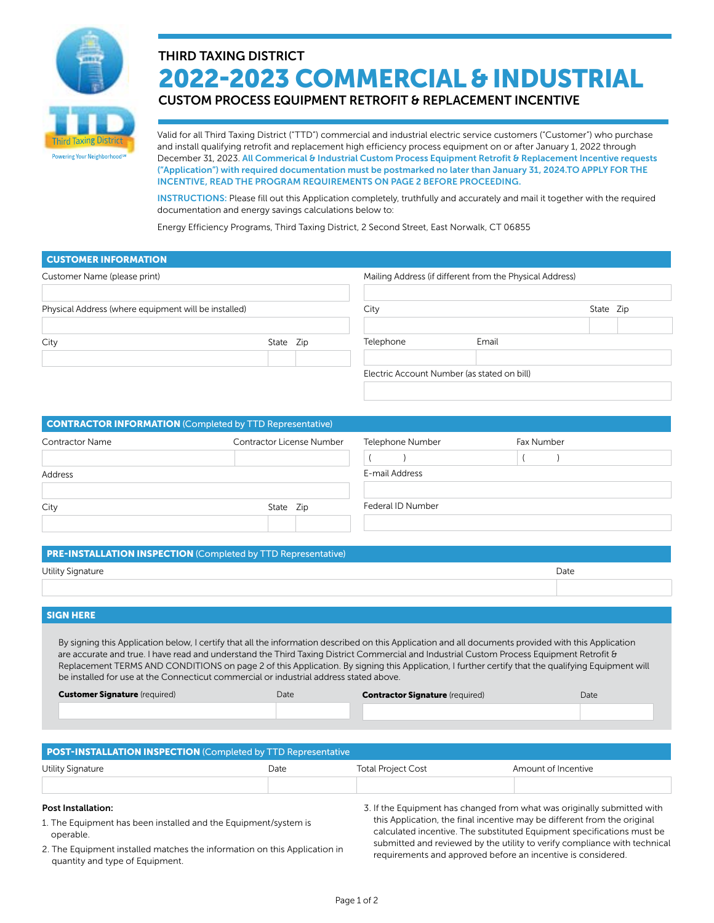

# THIRD TAXING DISTRICT 2022-2023 COMMERCIAL & INDUSTRIAL

CUSTOM PROCESS EQUIPMENT RETROFIT & REPLACEMENT INCENTIVE

Valid for all Third Taxing District ("TTD") commercial and industrial electric service customers ("Customer") who purchase and install qualifying retrofit and replacement high efficiency process equipment on or after January 1, 2022 through December 31, 2023. All Commerical & Industrial Custom Process Equipment Retrofit & Replacement Incentive requests ("Application") with required documentation must be postmarked no later than January 31, 2024.TO APPLY FOR THE INCENTIVE, READ THE PROGRAM REQUIREMENTS ON PAGE 2 BEFORE PROCEEDING.

INSTRUCTIONS: Please fill out this Application completely, truthfully and accurately and mail it together with the required documentation and energy savings calculations below to:

Energy Efficiency Programs, Third Taxing District, 2 Second Street, East Norwalk, CT 06855

| <b>CUSTOMER INFORMATION</b>                                     |                           |                                                          |                                             |            |           |  |
|-----------------------------------------------------------------|---------------------------|----------------------------------------------------------|---------------------------------------------|------------|-----------|--|
| Customer Name (please print)                                    |                           | Mailing Address (if different from the Physical Address) |                                             |            |           |  |
| Physical Address (where equipment will be installed)            |                           |                                                          | City                                        |            | State Zip |  |
| City                                                            | State Zip                 |                                                          | Telephone                                   | Email      |           |  |
|                                                                 |                           |                                                          | Electric Account Number (as stated on bill) |            |           |  |
|                                                                 |                           |                                                          |                                             |            |           |  |
| <b>CONTRACTOR INFORMATION (Completed by TTD Representative)</b> |                           |                                                          |                                             |            |           |  |
| <b>Contractor Name</b>                                          | Contractor License Number |                                                          | Telephone Number                            | Fax Number |           |  |

| Address |           | E-mail Address    |  |  |
|---------|-----------|-------------------|--|--|
|         |           |                   |  |  |
| City    | State Zip | Federal ID Number |  |  |
|         |           |                   |  |  |

## PRE-INSTALLATION INSPECTION (Completed by TTD Representative)

| Utility Signature<br><u>. на также</u> | Date |
|----------------------------------------|------|
|                                        |      |

## SIGN HERE

By signing this Application below, I certify that all the information described on this Application and all documents provided with this Application are accurate and true. I have read and understand the Third Taxing District Commercial and Industrial Custom Process Equipment Retrofit & Replacement TERMS AND CONDITIONS on page 2 of this Application. By signing this Application, I further certify that the qualifying Equipment will be installed for use at the Connecticut commercial or industrial address stated above.

| <b>Customer Signature (required)</b> | Date | <b>Contractor Signature (required)</b> | Date |
|--------------------------------------|------|----------------------------------------|------|
|                                      |      |                                        |      |

| POST-INSTALLATION INSPECTION (Completed by TTD Representative |                                   |  |                     |  |
|---------------------------------------------------------------|-----------------------------------|--|---------------------|--|
| Utility Signature                                             | <b>Total Project Cost</b><br>Date |  | Amount of Incentive |  |
|                                                               |                                   |  |                     |  |
|                                                               |                                   |  |                     |  |

#### Post Installation:

- 1. The Equipment has been installed and the Equipment/system is operable.
- 2. The Equipment installed matches the information on this Application in quantity and type of Equipment.

3. If the Equipment has changed from what was originally submitted with this Application, the final incentive may be different from the original calculated incentive. The substituted Equipment specifications must be submitted and reviewed by the utility to verify compliance with technical requirements and approved before an incentive is considered.